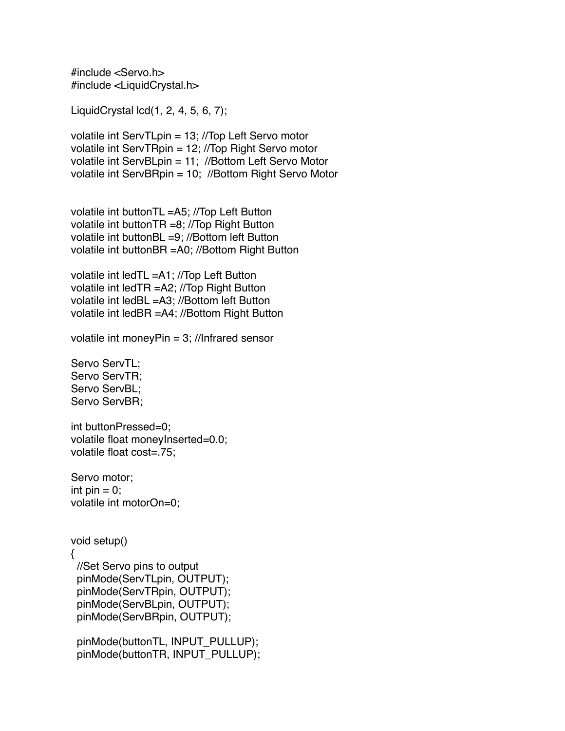#include <Servo.h> #include <LiquidCrystal.h>

LiquidCrystal lcd(1, 2, 4, 5, 6, 7);

volatile int ServTLpin = 13; //Top Left Servo motor volatile int ServTRpin = 12; //Top Right Servo motor volatile int ServBLpin = 11; //Bottom Left Servo Motor volatile int ServBRpin = 10; //Bottom Right Servo Motor

volatile int buttonTL =A5; //Top Left Button volatile int buttonTR =8; //Top Right Button volatile int buttonBL =9; //Bottom left Button volatile int buttonBR =A0; //Bottom Right Button

volatile int ledTL =A1; //Top Left Button volatile int ledTR =A2; //Top Right Button volatile int ledBL =A3; //Bottom left Button volatile int ledBR =A4; //Bottom Right Button

volatile int moneyPin = 3; //Infrared sensor

Servo ServTL; Servo ServTR; Servo ServBL; Servo ServBR;

int buttonPressed=0; volatile float moneyInserted=0.0; volatile float cost=.75;

Servo motor; int  $pin = 0$ ; volatile int motorOn=0;

```
void setup()
{
  //Set Servo pins to output
  pinMode(ServTLpin, OUTPUT);
  pinMode(ServTRpin, OUTPUT);
  pinMode(ServBLpin, OUTPUT);
  pinMode(ServBRpin, OUTPUT);
```
 pinMode(buttonTL, INPUT\_PULLUP); pinMode(buttonTR, INPUT\_PULLUP);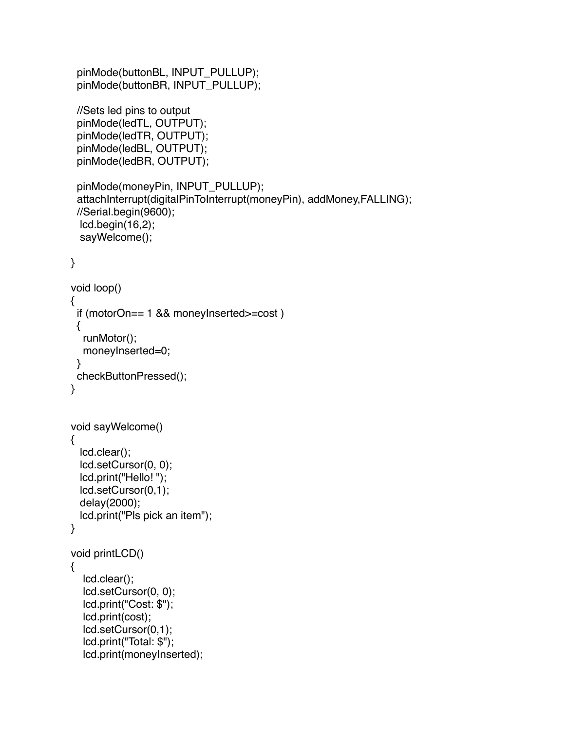```
 pinMode(buttonBL, INPUT_PULLUP);
  pinMode(buttonBR, INPUT_PULLUP);
  //Sets led pins to output
  pinMode(ledTL, OUTPUT);
  pinMode(ledTR, OUTPUT);
  pinMode(ledBL, OUTPUT);
  pinMode(ledBR, OUTPUT);
  pinMode(moneyPin, INPUT_PULLUP);
  attachInterrupt(digitalPinToInterrupt(moneyPin), addMoney,FALLING);
  //Serial.begin(9600);
  lcd.begin(16,2);
   sayWelcome();
}
void loop()
{
  if (motorOn== 1 && moneyInserted>=cost )
  {
   runMotor();
   moneyInserted=0;
  }
  checkButtonPressed();
}
void sayWelcome()
{
   lcd.clear();
   lcd.setCursor(0, 0);
  lcd.print("Hello! ");
   lcd.setCursor(0,1);
   delay(2000);
   lcd.print("Pls pick an item");
}
void printLCD()
{
   lcd.clear();
   lcd.setCursor(0, 0);
   lcd.print("Cost: $");
   lcd.print(cost);
   lcd.setCursor(0,1);
   lcd.print("Total: $");
   lcd.print(moneyInserted);
```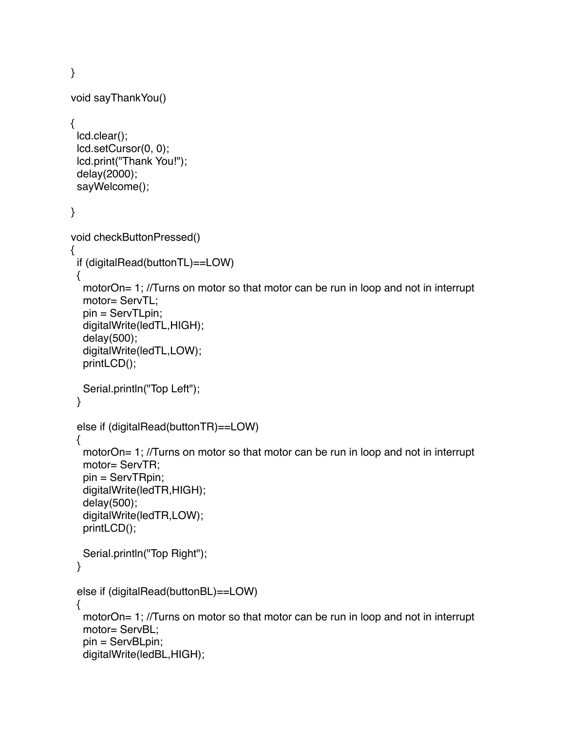```
}
void sayThankYou()
{
  lcd.clear();
  lcd.setCursor(0, 0);
  lcd.print("Thank You!");
  delay(2000);
  sayWelcome();
}
void checkButtonPressed()
{
  if (digitalRead(buttonTL)==LOW)
  {
  motorOn= 1; //Turns on motor so that motor can be run in loop and not in interrupt
   motor= ServTL;
   pin = ServTLpin;
   digitalWrite(ledTL,HIGH);
   delay(500);
   digitalWrite(ledTL,LOW);
   printLCD();
   Serial.println("Top Left");
  }
  else if (digitalRead(buttonTR)==LOW)
  {
  motorOn= 1; //Turns on motor so that motor can be run in loop and not in interrupt
   motor= ServTR;
   pin = ServTRpin;
   digitalWrite(ledTR,HIGH);
   delay(500);
   digitalWrite(ledTR,LOW);
   printLCD();
   Serial.println("Top Right");
  }
  else if (digitalRead(buttonBL)==LOW)
  {
  motorOn= 1; //Turns on motor so that motor can be run in loop and not in interrupt
   motor= ServBL;
   pin = ServBLpin;
   digitalWrite(ledBL,HIGH);
```